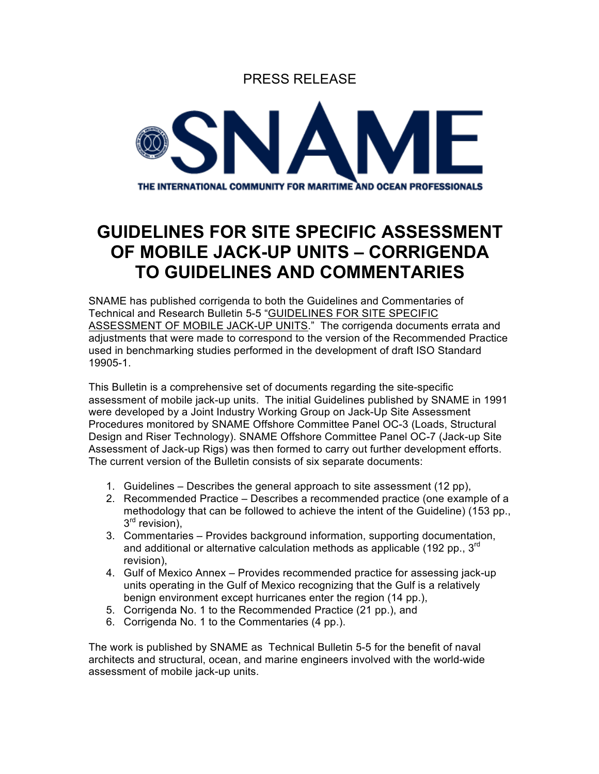



## **GUIDELINES FOR SITE SPECIFIC ASSESSMENT OF MOBILE JACK-UP UNITS – CORRIGENDA TO GUIDELINES AND COMMENTARIES**

SNAME has published corrigenda to both the Guidelines and Commentaries of Technical and Research Bulletin 5-5 "GUIDELINES FOR SITE SPECIFIC ASSESSMENT OF MOBILE JACK-UP UNITS." The corrigenda documents errata and adjustments that were made to correspond to the version of the Recommended Practice used in benchmarking studies performed in the development of draft ISO Standard 19905-1.

This Bulletin is a comprehensive set of documents regarding the site-specific assessment of mobile jack-up units. The initial Guidelines published by SNAME in 1991 were developed by a Joint Industry Working Group on Jack-Up Site Assessment Procedures monitored by SNAME Offshore Committee Panel OC-3 (Loads, Structural Design and Riser Technology). SNAME Offshore Committee Panel OC-7 (Jack-up Site Assessment of Jack-up Rigs) was then formed to carry out further development efforts. The current version of the Bulletin consists of six separate documents:

- 1. Guidelines Describes the general approach to site assessment (12 pp),
- 2. Recommended Practice Describes a recommended practice (one example of a methodology that can be followed to achieve the intent of the Guideline) (153 pp.,  $3<sup>rd</sup>$  revision).
- 3. Commentaries Provides background information, supporting documentation, and additional or alternative calculation methods as applicable (192 pp.,  $3<sup>rd</sup>$ revision),
- 4. Gulf of Mexico Annex Provides recommended practice for assessing jack-up units operating in the Gulf of Mexico recognizing that the Gulf is a relatively benign environment except hurricanes enter the region (14 pp.),
- 5. Corrigenda No. 1 to the Recommended Practice (21 pp.), and
- 6. Corrigenda No. 1 to the Commentaries (4 pp.).

The work is published by SNAME as Technical Bulletin 5-5 for the benefit of naval architects and structural, ocean, and marine engineers involved with the world-wide assessment of mobile jack-up units.